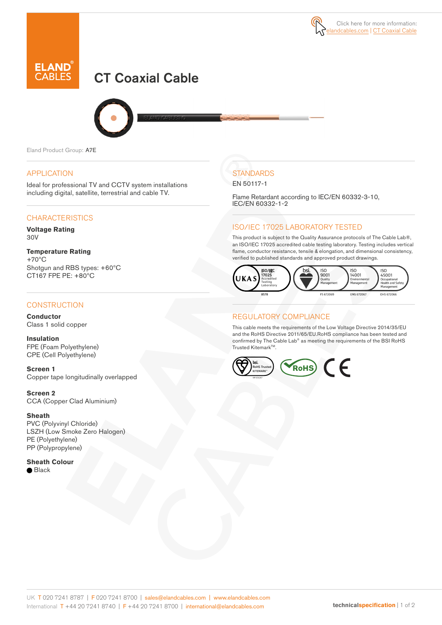



# CT Coaxial Cable



Eland Product Group: A7E

### APPLICATION

Ideal for professional TV and CCTV system installations including digital, satellite, terrestrial and cable TV.

### **CHARACTERISTICS**

**Voltage Rating** 30V

#### **Temperature Rating** +70ºC

Shotgun and RBS types: +60ºC CT167 FPE PE: +80ºC

### **CONSTRUCTION**

**Conductor** Class 1 solid copper

**Insulation** FPE (Foam Polyethylene) CPE (Cell Polyethylene)

**Screen 1** Copper tape longitudinally overlapped

**Screen 2** CCA (Copper Clad Aluminium)

#### **Sheath**

PVC (Polyvinyl Chloride) LSZH (Low Smoke Zero Halogen) PE (Polyethylene) PP (Polypropylene)

**Sheath Colour ●** Black

# **STANDARDS**

EN 50117-1

Flame Retardant according to IEC/EN 60332-3-10, IEC/EN 60332-1-2

## ISO/IEC 17025 LABORATORY TESTED

This product is subject to the Quality Assurance protocols of The Cable Lab®, an ISO/IEC 17025 accredited cable testing laboratory. Testing includes vertical flame, conductor resistance, tensile & elongation, and dimensional consistency, verified to published standards and approved product drawings.



### REGULATORY COMPLIANCE

This cable meets the requirements of the Low Voltage Directive 2014/35/EU and the RoHS Directive 2011/65/EU.RoHS compliance has been tested and confirmed by The Cable Lab® as meeting the requirements of the BSI RoHS Trusted Kitemark™.